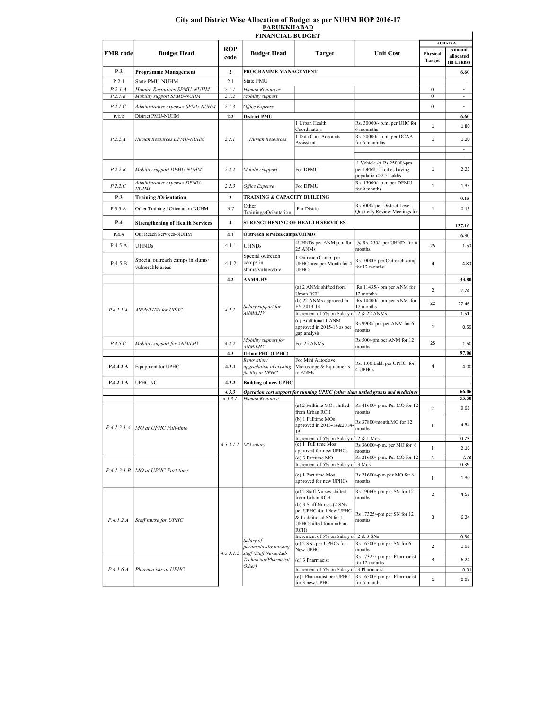## City and District Wise Allocation of Budget as per NUHM ROP 2016-17 FARUKKHABAD

| ROP<br>Amount<br><b>FMR</b> code<br><b>Unit Cost</b><br><b>Budget Head</b><br><b>Budget Head</b><br><b>Target</b><br>Physical<br>allocated<br>code<br><b>Target</b><br>(in Lakhs)<br>P.2<br>$\mathbf{2}$<br>PROGRAMME MANAGEMENT<br>6.60<br><b>Programme Management</b><br>P.2.1<br>2.1<br><b>State PMU</b><br>State PMU-NUHM<br>P.2.1.A<br>Human Resources SPMU-NUHM<br>2.1.1<br>$\boldsymbol{0}$<br>$\overline{\phantom{a}}$<br>Human Resources<br>P.2.1B<br>Mobility support SPMU-NUHM<br>2.1.2<br>Mobility support<br>$\boldsymbol{0}$<br>$\overline{\phantom{a}}$<br>P.2.1.C<br>2.1.3<br>$\boldsymbol{0}$<br>Administrative expenses SPMU-NUHM<br>Office Expense<br>District PMU-NUHM<br>P.2.2<br>2.2<br><b>District PMU</b><br>6.60<br>1 Urban Health<br>Rs. 30000/- p.m. per UHC for<br>$1\,$<br>1.80<br>Coordinators<br>6 monmths<br>Rs. 20000/- p.m. per DCAA<br>1 Data Cum Accounts<br>P.2.2.A<br>2.2.1<br>Human Resources DPMU-NUHM<br>Human Resources<br>$\,1\,$<br>1.20<br>Assisstant<br>for 6 monmths<br>$\overline{\phantom{a}}$<br>$\overline{\phantom{a}}$<br>1 Vehicle @ Rs 25000/-pm<br>$1\,$<br>P.2.2.B<br>Mobility support DPMU-NUHM<br>2.2.2<br>Mobility support<br>For DPMU<br>per DPMU in cities having<br>2.25<br>population > 2.5 Lakhs<br>Rs. 15000/- p.m.per DPMU<br>Administrative expenses DPMU-<br>P.2.2.C<br>2.2.3<br>For DPMU<br>$1\,$<br>1.35<br>Office Expense<br><i>NUHM</i><br>for 9 months<br>P.3<br>TRAINING & CAPACITY BUILDING<br><b>Training /Orientation</b><br>3<br>0.15<br>Rs 5000/-per District Level<br>Other<br>3.7<br>$\mathbf 1$<br>P.3.3.A<br>For District<br>0.15<br>Other Training / Orientation NUHM<br>Quarterly Review Meetings for<br>Trainings/Orientation<br>STRENGTHENING OF HEALTH SERVICES<br>P.4<br>$\overline{\mathbf{4}}$<br><b>Strengthening of Health Services</b><br>137.16<br>Outreach services/camps/UHNDs<br>P.4.5<br>4.1<br>Out Reach Services-NUHM<br>6.30<br>@ Rs. 250/- per UHND for 6<br>4UHNDs per ANM p.m for<br>4.1.1<br>P.4.5.A<br>25<br><b>UHNDs</b><br><b>UHNDs</b><br>1.50<br>25 ANMs<br>months.<br>Special outreach<br>1 Outreach Camp per<br>Special outreach camps in slums/<br>Rs 10000/-per Outreach camp<br>camps in<br>P.4.5.B<br>4.1.2<br>UPHC area per Month for 4<br>4<br>4.80<br>for 12 months<br>vulnerable areas<br>slums/vulnerable<br><b>UPHCs</b><br>4.2<br><b>ANM/LHV</b><br>33.80<br>(a) 2 ANMs shifted from<br>Rs 11435/- pm per ANM for<br>$\overline{2}$<br>2.74<br>Urban RCH<br>12 months<br>Rs 10400/- pm per ANM for<br>(b) 22 ANMs approved in<br>22<br>27.46<br>Salary support for<br>FY 2013-14<br>12 months<br>4.2.1<br>P.4.1.1.A<br>ANMs/LHVs for UPHC<br><i>ANM/LHV</i><br>Increment of 5% on Salary of 2 & 22 ANMs<br>1.51<br>(c) Additional 1 ANM<br>Rs 9900/-pm per ANM for 6<br>approved in 2015-16 as per<br>$\mathbf 1$<br>months<br>gap analysis<br>Mobility support for<br>Rs 500/-pm per ANM for 12<br>P.4.5.C<br>For 25 ANMs<br>25<br>Mobility support for ANM/LHV<br>4.2.2<br><i>ANM/LHV</i><br>months<br>97.06<br>4.3<br>Urban PHC (UPHC)<br>For Mini Autoclave,<br>Renovation/<br>Rs. 1.00 Lakh per UPHC for<br>4<br>P.4.4.2.A<br>4.3.1<br>upgradation of existing<br>Microscope & Equipments<br>4.00<br>Equipment for UPHC<br>4 UPHCs<br>facility to UPHC<br>to ANMs<br>P.4.2.1.A<br>4.3.2<br>UPHC-NC<br><b>Building of new UPHC</b><br>Operation cost support for running UPHC (other than untied grants and medicines<br>4.3.3<br>55.50<br>4.3.3.1<br>Human Resource<br>(a) 2 Fulltime MOs shifted<br>Rs 41600/-p.m. Per MO for 12<br>$\overline{c}$<br>9.98<br>from Urban RCH<br>months<br>(b) 1 Fulltime MOs<br>Rs 37800/month/MO for 12<br>approved in 2013-14&2014<br>$\mathbf{1}$<br>4.54<br>P.4.1.3.1.A   MO at UPHC Full-time<br>months<br>15<br>Increment of 5% on Salary of 2 & 1 Mos<br>0.73<br>(c) 1 Full time Mos<br>Rs 36000/-p.m. per MO for 6<br>$4.3.3.1.1$ MO salary<br>$\mathbf{1}$<br>2.16<br>approved for new UPHCs<br>months<br>Rs 21600/-p.m. Per MO for 12<br>$\mathfrak{Z}$<br>(d) 3 Parttime MO<br>Increment of 5% on Salary of 3 Mos<br>0.39<br>P.4.1.3.1.B<br>MO at UPHC Part-time<br>(e) 1 Part time Mos<br>Rs 21600/-p.m.per MO for 6<br>$\mathbf{1}$<br>1.30<br>approved for new UPHCs<br>months<br>(a) 2 Staff Nurses shifted<br>Rs 19060/-pm per SN for 12<br>$\overline{2}$<br>4.57<br>from Urban RCH<br>months<br>(b) 3 Staff Nurses (2 SNs<br>per UPHC for 1New UPHC<br>Rs 17325/-pm per SN for 12<br>3<br>& 1 additional SN for 1<br>6.24<br>P.4.1.2.A<br>Staff nurse for UPHC<br>months<br>UPHCshifted from urban<br>$RCH$ )<br>Increment of 5% on Salary of 2 & 3 SNs<br>0.54<br>Salary of<br>(c) 2 SNs per UPHCs for<br>Rs 16500/-pm per SN for 6<br>$\overline{2}$<br>1.98<br>paramedical& nursing<br>New UPHC<br>months<br>4.3.3.1.2<br>staff (Staff Nurse/Lab<br>Rs 17325/-pm per Pharmacist<br>Technician/Pharmcist/<br>3<br>(d) 3 Pharmacist<br>6.24<br>for 12 months<br>Other)<br>P.4.1.6.4<br>Pharmacists at UPHC<br>Increment of 5% on Salary of 3 Pharmacist<br>Rs 16500/-pm per Pharmacist<br>(e)1 Pharmacist per UPHC<br>$\mathbf{1}$<br>0.99<br>for 3 new UPHC<br>for 6 months | <b>FINANCIAL BUDGET</b> |  |  |  |  |  |                |       |  |  |  |  |
|--------------------------------------------------------------------------------------------------------------------------------------------------------------------------------------------------------------------------------------------------------------------------------------------------------------------------------------------------------------------------------------------------------------------------------------------------------------------------------------------------------------------------------------------------------------------------------------------------------------------------------------------------------------------------------------------------------------------------------------------------------------------------------------------------------------------------------------------------------------------------------------------------------------------------------------------------------------------------------------------------------------------------------------------------------------------------------------------------------------------------------------------------------------------------------------------------------------------------------------------------------------------------------------------------------------------------------------------------------------------------------------------------------------------------------------------------------------------------------------------------------------------------------------------------------------------------------------------------------------------------------------------------------------------------------------------------------------------------------------------------------------------------------------------------------------------------------------------------------------------------------------------------------------------------------------------------------------------------------------------------------------------------------------------------------------------------------------------------------------------------------------------------------------------------------------------------------------------------------------------------------------------------------------------------------------------------------------------------------------------------------------------------------------------------------------------------------------------------------------------------------------------------------------------------------------------------------------------------------------------------------------------------------------------------------------------------------------------------------------------------------------------------------------------------------------------------------------------------------------------------------------------------------------------------------------------------------------------------------------------------------------------------------------------------------------------------------------------------------------------------------------------------------------------------------------------------------------------------------------------------------------------------------------------------------------------------------------------------------------------------------------------------------------------------------------------------------------------------------------------------------------------------------------------------------------------------------------------------------------------------------------------------------------------------------------------------------------------------------------------------------------------------------------------------------------------------------------------------------------------------------------------------------------------------------------------------------------------------------------------------------------------------------------------------------------------------------------------------------------------------------------------------------------------------------------------------------------------------------------------------------------------------------------------------------------------------------------------------------------------------------------------------------------------------------------------------------------------------------------------------------------------------------------------------------------------------------------------------------------------------------------------------------------------------------------------------------------------------------------------------------------------------------------------------------------------------------------------------------------------------------------------------------------------------------------------------------------------------------------------------------------------------------------------------------------------------------------------------------------------------------------------------------------------|-------------------------|--|--|--|--|--|----------------|-------|--|--|--|--|
|                                                                                                                                                                                                                                                                                                                                                                                                                                                                                                                                                                                                                                                                                                                                                                                                                                                                                                                                                                                                                                                                                                                                                                                                                                                                                                                                                                                                                                                                                                                                                                                                                                                                                                                                                                                                                                                                                                                                                                                                                                                                                                                                                                                                                                                                                                                                                                                                                                                                                                                                                                                                                                                                                                                                                                                                                                                                                                                                                                                                                                                                                                                                                                                                                                                                                                                                                                                                                                                                                                                                                                                                                                                                                                                                                                                                                                                                                                                                                                                                                                                                                                                                                                                                                                                                                                                                                                                                                                                                                                                                                                                                                                                                                                                                                                                                                                                                                                                                                                                                                                                                                                                                                                    |                         |  |  |  |  |  | <b>AURAIYA</b> |       |  |  |  |  |
|                                                                                                                                                                                                                                                                                                                                                                                                                                                                                                                                                                                                                                                                                                                                                                                                                                                                                                                                                                                                                                                                                                                                                                                                                                                                                                                                                                                                                                                                                                                                                                                                                                                                                                                                                                                                                                                                                                                                                                                                                                                                                                                                                                                                                                                                                                                                                                                                                                                                                                                                                                                                                                                                                                                                                                                                                                                                                                                                                                                                                                                                                                                                                                                                                                                                                                                                                                                                                                                                                                                                                                                                                                                                                                                                                                                                                                                                                                                                                                                                                                                                                                                                                                                                                                                                                                                                                                                                                                                                                                                                                                                                                                                                                                                                                                                                                                                                                                                                                                                                                                                                                                                                                                    |                         |  |  |  |  |  |                |       |  |  |  |  |
|                                                                                                                                                                                                                                                                                                                                                                                                                                                                                                                                                                                                                                                                                                                                                                                                                                                                                                                                                                                                                                                                                                                                                                                                                                                                                                                                                                                                                                                                                                                                                                                                                                                                                                                                                                                                                                                                                                                                                                                                                                                                                                                                                                                                                                                                                                                                                                                                                                                                                                                                                                                                                                                                                                                                                                                                                                                                                                                                                                                                                                                                                                                                                                                                                                                                                                                                                                                                                                                                                                                                                                                                                                                                                                                                                                                                                                                                                                                                                                                                                                                                                                                                                                                                                                                                                                                                                                                                                                                                                                                                                                                                                                                                                                                                                                                                                                                                                                                                                                                                                                                                                                                                                                    |                         |  |  |  |  |  |                |       |  |  |  |  |
|                                                                                                                                                                                                                                                                                                                                                                                                                                                                                                                                                                                                                                                                                                                                                                                                                                                                                                                                                                                                                                                                                                                                                                                                                                                                                                                                                                                                                                                                                                                                                                                                                                                                                                                                                                                                                                                                                                                                                                                                                                                                                                                                                                                                                                                                                                                                                                                                                                                                                                                                                                                                                                                                                                                                                                                                                                                                                                                                                                                                                                                                                                                                                                                                                                                                                                                                                                                                                                                                                                                                                                                                                                                                                                                                                                                                                                                                                                                                                                                                                                                                                                                                                                                                                                                                                                                                                                                                                                                                                                                                                                                                                                                                                                                                                                                                                                                                                                                                                                                                                                                                                                                                                                    |                         |  |  |  |  |  |                |       |  |  |  |  |
|                                                                                                                                                                                                                                                                                                                                                                                                                                                                                                                                                                                                                                                                                                                                                                                                                                                                                                                                                                                                                                                                                                                                                                                                                                                                                                                                                                                                                                                                                                                                                                                                                                                                                                                                                                                                                                                                                                                                                                                                                                                                                                                                                                                                                                                                                                                                                                                                                                                                                                                                                                                                                                                                                                                                                                                                                                                                                                                                                                                                                                                                                                                                                                                                                                                                                                                                                                                                                                                                                                                                                                                                                                                                                                                                                                                                                                                                                                                                                                                                                                                                                                                                                                                                                                                                                                                                                                                                                                                                                                                                                                                                                                                                                                                                                                                                                                                                                                                                                                                                                                                                                                                                                                    |                         |  |  |  |  |  |                |       |  |  |  |  |
|                                                                                                                                                                                                                                                                                                                                                                                                                                                                                                                                                                                                                                                                                                                                                                                                                                                                                                                                                                                                                                                                                                                                                                                                                                                                                                                                                                                                                                                                                                                                                                                                                                                                                                                                                                                                                                                                                                                                                                                                                                                                                                                                                                                                                                                                                                                                                                                                                                                                                                                                                                                                                                                                                                                                                                                                                                                                                                                                                                                                                                                                                                                                                                                                                                                                                                                                                                                                                                                                                                                                                                                                                                                                                                                                                                                                                                                                                                                                                                                                                                                                                                                                                                                                                                                                                                                                                                                                                                                                                                                                                                                                                                                                                                                                                                                                                                                                                                                                                                                                                                                                                                                                                                    |                         |  |  |  |  |  |                |       |  |  |  |  |
|                                                                                                                                                                                                                                                                                                                                                                                                                                                                                                                                                                                                                                                                                                                                                                                                                                                                                                                                                                                                                                                                                                                                                                                                                                                                                                                                                                                                                                                                                                                                                                                                                                                                                                                                                                                                                                                                                                                                                                                                                                                                                                                                                                                                                                                                                                                                                                                                                                                                                                                                                                                                                                                                                                                                                                                                                                                                                                                                                                                                                                                                                                                                                                                                                                                                                                                                                                                                                                                                                                                                                                                                                                                                                                                                                                                                                                                                                                                                                                                                                                                                                                                                                                                                                                                                                                                                                                                                                                                                                                                                                                                                                                                                                                                                                                                                                                                                                                                                                                                                                                                                                                                                                                    |                         |  |  |  |  |  |                |       |  |  |  |  |
|                                                                                                                                                                                                                                                                                                                                                                                                                                                                                                                                                                                                                                                                                                                                                                                                                                                                                                                                                                                                                                                                                                                                                                                                                                                                                                                                                                                                                                                                                                                                                                                                                                                                                                                                                                                                                                                                                                                                                                                                                                                                                                                                                                                                                                                                                                                                                                                                                                                                                                                                                                                                                                                                                                                                                                                                                                                                                                                                                                                                                                                                                                                                                                                                                                                                                                                                                                                                                                                                                                                                                                                                                                                                                                                                                                                                                                                                                                                                                                                                                                                                                                                                                                                                                                                                                                                                                                                                                                                                                                                                                                                                                                                                                                                                                                                                                                                                                                                                                                                                                                                                                                                                                                    |                         |  |  |  |  |  |                |       |  |  |  |  |
|                                                                                                                                                                                                                                                                                                                                                                                                                                                                                                                                                                                                                                                                                                                                                                                                                                                                                                                                                                                                                                                                                                                                                                                                                                                                                                                                                                                                                                                                                                                                                                                                                                                                                                                                                                                                                                                                                                                                                                                                                                                                                                                                                                                                                                                                                                                                                                                                                                                                                                                                                                                                                                                                                                                                                                                                                                                                                                                                                                                                                                                                                                                                                                                                                                                                                                                                                                                                                                                                                                                                                                                                                                                                                                                                                                                                                                                                                                                                                                                                                                                                                                                                                                                                                                                                                                                                                                                                                                                                                                                                                                                                                                                                                                                                                                                                                                                                                                                                                                                                                                                                                                                                                                    |                         |  |  |  |  |  |                |       |  |  |  |  |
|                                                                                                                                                                                                                                                                                                                                                                                                                                                                                                                                                                                                                                                                                                                                                                                                                                                                                                                                                                                                                                                                                                                                                                                                                                                                                                                                                                                                                                                                                                                                                                                                                                                                                                                                                                                                                                                                                                                                                                                                                                                                                                                                                                                                                                                                                                                                                                                                                                                                                                                                                                                                                                                                                                                                                                                                                                                                                                                                                                                                                                                                                                                                                                                                                                                                                                                                                                                                                                                                                                                                                                                                                                                                                                                                                                                                                                                                                                                                                                                                                                                                                                                                                                                                                                                                                                                                                                                                                                                                                                                                                                                                                                                                                                                                                                                                                                                                                                                                                                                                                                                                                                                                                                    |                         |  |  |  |  |  |                |       |  |  |  |  |
|                                                                                                                                                                                                                                                                                                                                                                                                                                                                                                                                                                                                                                                                                                                                                                                                                                                                                                                                                                                                                                                                                                                                                                                                                                                                                                                                                                                                                                                                                                                                                                                                                                                                                                                                                                                                                                                                                                                                                                                                                                                                                                                                                                                                                                                                                                                                                                                                                                                                                                                                                                                                                                                                                                                                                                                                                                                                                                                                                                                                                                                                                                                                                                                                                                                                                                                                                                                                                                                                                                                                                                                                                                                                                                                                                                                                                                                                                                                                                                                                                                                                                                                                                                                                                                                                                                                                                                                                                                                                                                                                                                                                                                                                                                                                                                                                                                                                                                                                                                                                                                                                                                                                                                    |                         |  |  |  |  |  |                |       |  |  |  |  |
|                                                                                                                                                                                                                                                                                                                                                                                                                                                                                                                                                                                                                                                                                                                                                                                                                                                                                                                                                                                                                                                                                                                                                                                                                                                                                                                                                                                                                                                                                                                                                                                                                                                                                                                                                                                                                                                                                                                                                                                                                                                                                                                                                                                                                                                                                                                                                                                                                                                                                                                                                                                                                                                                                                                                                                                                                                                                                                                                                                                                                                                                                                                                                                                                                                                                                                                                                                                                                                                                                                                                                                                                                                                                                                                                                                                                                                                                                                                                                                                                                                                                                                                                                                                                                                                                                                                                                                                                                                                                                                                                                                                                                                                                                                                                                                                                                                                                                                                                                                                                                                                                                                                                                                    |                         |  |  |  |  |  |                |       |  |  |  |  |
|                                                                                                                                                                                                                                                                                                                                                                                                                                                                                                                                                                                                                                                                                                                                                                                                                                                                                                                                                                                                                                                                                                                                                                                                                                                                                                                                                                                                                                                                                                                                                                                                                                                                                                                                                                                                                                                                                                                                                                                                                                                                                                                                                                                                                                                                                                                                                                                                                                                                                                                                                                                                                                                                                                                                                                                                                                                                                                                                                                                                                                                                                                                                                                                                                                                                                                                                                                                                                                                                                                                                                                                                                                                                                                                                                                                                                                                                                                                                                                                                                                                                                                                                                                                                                                                                                                                                                                                                                                                                                                                                                                                                                                                                                                                                                                                                                                                                                                                                                                                                                                                                                                                                                                    |                         |  |  |  |  |  |                |       |  |  |  |  |
|                                                                                                                                                                                                                                                                                                                                                                                                                                                                                                                                                                                                                                                                                                                                                                                                                                                                                                                                                                                                                                                                                                                                                                                                                                                                                                                                                                                                                                                                                                                                                                                                                                                                                                                                                                                                                                                                                                                                                                                                                                                                                                                                                                                                                                                                                                                                                                                                                                                                                                                                                                                                                                                                                                                                                                                                                                                                                                                                                                                                                                                                                                                                                                                                                                                                                                                                                                                                                                                                                                                                                                                                                                                                                                                                                                                                                                                                                                                                                                                                                                                                                                                                                                                                                                                                                                                                                                                                                                                                                                                                                                                                                                                                                                                                                                                                                                                                                                                                                                                                                                                                                                                                                                    |                         |  |  |  |  |  |                |       |  |  |  |  |
|                                                                                                                                                                                                                                                                                                                                                                                                                                                                                                                                                                                                                                                                                                                                                                                                                                                                                                                                                                                                                                                                                                                                                                                                                                                                                                                                                                                                                                                                                                                                                                                                                                                                                                                                                                                                                                                                                                                                                                                                                                                                                                                                                                                                                                                                                                                                                                                                                                                                                                                                                                                                                                                                                                                                                                                                                                                                                                                                                                                                                                                                                                                                                                                                                                                                                                                                                                                                                                                                                                                                                                                                                                                                                                                                                                                                                                                                                                                                                                                                                                                                                                                                                                                                                                                                                                                                                                                                                                                                                                                                                                                                                                                                                                                                                                                                                                                                                                                                                                                                                                                                                                                                                                    |                         |  |  |  |  |  |                |       |  |  |  |  |
|                                                                                                                                                                                                                                                                                                                                                                                                                                                                                                                                                                                                                                                                                                                                                                                                                                                                                                                                                                                                                                                                                                                                                                                                                                                                                                                                                                                                                                                                                                                                                                                                                                                                                                                                                                                                                                                                                                                                                                                                                                                                                                                                                                                                                                                                                                                                                                                                                                                                                                                                                                                                                                                                                                                                                                                                                                                                                                                                                                                                                                                                                                                                                                                                                                                                                                                                                                                                                                                                                                                                                                                                                                                                                                                                                                                                                                                                                                                                                                                                                                                                                                                                                                                                                                                                                                                                                                                                                                                                                                                                                                                                                                                                                                                                                                                                                                                                                                                                                                                                                                                                                                                                                                    |                         |  |  |  |  |  |                |       |  |  |  |  |
|                                                                                                                                                                                                                                                                                                                                                                                                                                                                                                                                                                                                                                                                                                                                                                                                                                                                                                                                                                                                                                                                                                                                                                                                                                                                                                                                                                                                                                                                                                                                                                                                                                                                                                                                                                                                                                                                                                                                                                                                                                                                                                                                                                                                                                                                                                                                                                                                                                                                                                                                                                                                                                                                                                                                                                                                                                                                                                                                                                                                                                                                                                                                                                                                                                                                                                                                                                                                                                                                                                                                                                                                                                                                                                                                                                                                                                                                                                                                                                                                                                                                                                                                                                                                                                                                                                                                                                                                                                                                                                                                                                                                                                                                                                                                                                                                                                                                                                                                                                                                                                                                                                                                                                    |                         |  |  |  |  |  |                |       |  |  |  |  |
|                                                                                                                                                                                                                                                                                                                                                                                                                                                                                                                                                                                                                                                                                                                                                                                                                                                                                                                                                                                                                                                                                                                                                                                                                                                                                                                                                                                                                                                                                                                                                                                                                                                                                                                                                                                                                                                                                                                                                                                                                                                                                                                                                                                                                                                                                                                                                                                                                                                                                                                                                                                                                                                                                                                                                                                                                                                                                                                                                                                                                                                                                                                                                                                                                                                                                                                                                                                                                                                                                                                                                                                                                                                                                                                                                                                                                                                                                                                                                                                                                                                                                                                                                                                                                                                                                                                                                                                                                                                                                                                                                                                                                                                                                                                                                                                                                                                                                                                                                                                                                                                                                                                                                                    |                         |  |  |  |  |  |                |       |  |  |  |  |
|                                                                                                                                                                                                                                                                                                                                                                                                                                                                                                                                                                                                                                                                                                                                                                                                                                                                                                                                                                                                                                                                                                                                                                                                                                                                                                                                                                                                                                                                                                                                                                                                                                                                                                                                                                                                                                                                                                                                                                                                                                                                                                                                                                                                                                                                                                                                                                                                                                                                                                                                                                                                                                                                                                                                                                                                                                                                                                                                                                                                                                                                                                                                                                                                                                                                                                                                                                                                                                                                                                                                                                                                                                                                                                                                                                                                                                                                                                                                                                                                                                                                                                                                                                                                                                                                                                                                                                                                                                                                                                                                                                                                                                                                                                                                                                                                                                                                                                                                                                                                                                                                                                                                                                    |                         |  |  |  |  |  |                |       |  |  |  |  |
|                                                                                                                                                                                                                                                                                                                                                                                                                                                                                                                                                                                                                                                                                                                                                                                                                                                                                                                                                                                                                                                                                                                                                                                                                                                                                                                                                                                                                                                                                                                                                                                                                                                                                                                                                                                                                                                                                                                                                                                                                                                                                                                                                                                                                                                                                                                                                                                                                                                                                                                                                                                                                                                                                                                                                                                                                                                                                                                                                                                                                                                                                                                                                                                                                                                                                                                                                                                                                                                                                                                                                                                                                                                                                                                                                                                                                                                                                                                                                                                                                                                                                                                                                                                                                                                                                                                                                                                                                                                                                                                                                                                                                                                                                                                                                                                                                                                                                                                                                                                                                                                                                                                                                                    |                         |  |  |  |  |  |                |       |  |  |  |  |
|                                                                                                                                                                                                                                                                                                                                                                                                                                                                                                                                                                                                                                                                                                                                                                                                                                                                                                                                                                                                                                                                                                                                                                                                                                                                                                                                                                                                                                                                                                                                                                                                                                                                                                                                                                                                                                                                                                                                                                                                                                                                                                                                                                                                                                                                                                                                                                                                                                                                                                                                                                                                                                                                                                                                                                                                                                                                                                                                                                                                                                                                                                                                                                                                                                                                                                                                                                                                                                                                                                                                                                                                                                                                                                                                                                                                                                                                                                                                                                                                                                                                                                                                                                                                                                                                                                                                                                                                                                                                                                                                                                                                                                                                                                                                                                                                                                                                                                                                                                                                                                                                                                                                                                    |                         |  |  |  |  |  |                |       |  |  |  |  |
|                                                                                                                                                                                                                                                                                                                                                                                                                                                                                                                                                                                                                                                                                                                                                                                                                                                                                                                                                                                                                                                                                                                                                                                                                                                                                                                                                                                                                                                                                                                                                                                                                                                                                                                                                                                                                                                                                                                                                                                                                                                                                                                                                                                                                                                                                                                                                                                                                                                                                                                                                                                                                                                                                                                                                                                                                                                                                                                                                                                                                                                                                                                                                                                                                                                                                                                                                                                                                                                                                                                                                                                                                                                                                                                                                                                                                                                                                                                                                                                                                                                                                                                                                                                                                                                                                                                                                                                                                                                                                                                                                                                                                                                                                                                                                                                                                                                                                                                                                                                                                                                                                                                                                                    |                         |  |  |  |  |  |                |       |  |  |  |  |
|                                                                                                                                                                                                                                                                                                                                                                                                                                                                                                                                                                                                                                                                                                                                                                                                                                                                                                                                                                                                                                                                                                                                                                                                                                                                                                                                                                                                                                                                                                                                                                                                                                                                                                                                                                                                                                                                                                                                                                                                                                                                                                                                                                                                                                                                                                                                                                                                                                                                                                                                                                                                                                                                                                                                                                                                                                                                                                                                                                                                                                                                                                                                                                                                                                                                                                                                                                                                                                                                                                                                                                                                                                                                                                                                                                                                                                                                                                                                                                                                                                                                                                                                                                                                                                                                                                                                                                                                                                                                                                                                                                                                                                                                                                                                                                                                                                                                                                                                                                                                                                                                                                                                                                    |                         |  |  |  |  |  |                |       |  |  |  |  |
|                                                                                                                                                                                                                                                                                                                                                                                                                                                                                                                                                                                                                                                                                                                                                                                                                                                                                                                                                                                                                                                                                                                                                                                                                                                                                                                                                                                                                                                                                                                                                                                                                                                                                                                                                                                                                                                                                                                                                                                                                                                                                                                                                                                                                                                                                                                                                                                                                                                                                                                                                                                                                                                                                                                                                                                                                                                                                                                                                                                                                                                                                                                                                                                                                                                                                                                                                                                                                                                                                                                                                                                                                                                                                                                                                                                                                                                                                                                                                                                                                                                                                                                                                                                                                                                                                                                                                                                                                                                                                                                                                                                                                                                                                                                                                                                                                                                                                                                                                                                                                                                                                                                                                                    |                         |  |  |  |  |  |                |       |  |  |  |  |
|                                                                                                                                                                                                                                                                                                                                                                                                                                                                                                                                                                                                                                                                                                                                                                                                                                                                                                                                                                                                                                                                                                                                                                                                                                                                                                                                                                                                                                                                                                                                                                                                                                                                                                                                                                                                                                                                                                                                                                                                                                                                                                                                                                                                                                                                                                                                                                                                                                                                                                                                                                                                                                                                                                                                                                                                                                                                                                                                                                                                                                                                                                                                                                                                                                                                                                                                                                                                                                                                                                                                                                                                                                                                                                                                                                                                                                                                                                                                                                                                                                                                                                                                                                                                                                                                                                                                                                                                                                                                                                                                                                                                                                                                                                                                                                                                                                                                                                                                                                                                                                                                                                                                                                    |                         |  |  |  |  |  |                |       |  |  |  |  |
|                                                                                                                                                                                                                                                                                                                                                                                                                                                                                                                                                                                                                                                                                                                                                                                                                                                                                                                                                                                                                                                                                                                                                                                                                                                                                                                                                                                                                                                                                                                                                                                                                                                                                                                                                                                                                                                                                                                                                                                                                                                                                                                                                                                                                                                                                                                                                                                                                                                                                                                                                                                                                                                                                                                                                                                                                                                                                                                                                                                                                                                                                                                                                                                                                                                                                                                                                                                                                                                                                                                                                                                                                                                                                                                                                                                                                                                                                                                                                                                                                                                                                                                                                                                                                                                                                                                                                                                                                                                                                                                                                                                                                                                                                                                                                                                                                                                                                                                                                                                                                                                                                                                                                                    |                         |  |  |  |  |  |                |       |  |  |  |  |
|                                                                                                                                                                                                                                                                                                                                                                                                                                                                                                                                                                                                                                                                                                                                                                                                                                                                                                                                                                                                                                                                                                                                                                                                                                                                                                                                                                                                                                                                                                                                                                                                                                                                                                                                                                                                                                                                                                                                                                                                                                                                                                                                                                                                                                                                                                                                                                                                                                                                                                                                                                                                                                                                                                                                                                                                                                                                                                                                                                                                                                                                                                                                                                                                                                                                                                                                                                                                                                                                                                                                                                                                                                                                                                                                                                                                                                                                                                                                                                                                                                                                                                                                                                                                                                                                                                                                                                                                                                                                                                                                                                                                                                                                                                                                                                                                                                                                                                                                                                                                                                                                                                                                                                    |                         |  |  |  |  |  |                | 0.59  |  |  |  |  |
|                                                                                                                                                                                                                                                                                                                                                                                                                                                                                                                                                                                                                                                                                                                                                                                                                                                                                                                                                                                                                                                                                                                                                                                                                                                                                                                                                                                                                                                                                                                                                                                                                                                                                                                                                                                                                                                                                                                                                                                                                                                                                                                                                                                                                                                                                                                                                                                                                                                                                                                                                                                                                                                                                                                                                                                                                                                                                                                                                                                                                                                                                                                                                                                                                                                                                                                                                                                                                                                                                                                                                                                                                                                                                                                                                                                                                                                                                                                                                                                                                                                                                                                                                                                                                                                                                                                                                                                                                                                                                                                                                                                                                                                                                                                                                                                                                                                                                                                                                                                                                                                                                                                                                                    |                         |  |  |  |  |  |                | 1.50  |  |  |  |  |
|                                                                                                                                                                                                                                                                                                                                                                                                                                                                                                                                                                                                                                                                                                                                                                                                                                                                                                                                                                                                                                                                                                                                                                                                                                                                                                                                                                                                                                                                                                                                                                                                                                                                                                                                                                                                                                                                                                                                                                                                                                                                                                                                                                                                                                                                                                                                                                                                                                                                                                                                                                                                                                                                                                                                                                                                                                                                                                                                                                                                                                                                                                                                                                                                                                                                                                                                                                                                                                                                                                                                                                                                                                                                                                                                                                                                                                                                                                                                                                                                                                                                                                                                                                                                                                                                                                                                                                                                                                                                                                                                                                                                                                                                                                                                                                                                                                                                                                                                                                                                                                                                                                                                                                    |                         |  |  |  |  |  |                |       |  |  |  |  |
|                                                                                                                                                                                                                                                                                                                                                                                                                                                                                                                                                                                                                                                                                                                                                                                                                                                                                                                                                                                                                                                                                                                                                                                                                                                                                                                                                                                                                                                                                                                                                                                                                                                                                                                                                                                                                                                                                                                                                                                                                                                                                                                                                                                                                                                                                                                                                                                                                                                                                                                                                                                                                                                                                                                                                                                                                                                                                                                                                                                                                                                                                                                                                                                                                                                                                                                                                                                                                                                                                                                                                                                                                                                                                                                                                                                                                                                                                                                                                                                                                                                                                                                                                                                                                                                                                                                                                                                                                                                                                                                                                                                                                                                                                                                                                                                                                                                                                                                                                                                                                                                                                                                                                                    |                         |  |  |  |  |  |                |       |  |  |  |  |
|                                                                                                                                                                                                                                                                                                                                                                                                                                                                                                                                                                                                                                                                                                                                                                                                                                                                                                                                                                                                                                                                                                                                                                                                                                                                                                                                                                                                                                                                                                                                                                                                                                                                                                                                                                                                                                                                                                                                                                                                                                                                                                                                                                                                                                                                                                                                                                                                                                                                                                                                                                                                                                                                                                                                                                                                                                                                                                                                                                                                                                                                                                                                                                                                                                                                                                                                                                                                                                                                                                                                                                                                                                                                                                                                                                                                                                                                                                                                                                                                                                                                                                                                                                                                                                                                                                                                                                                                                                                                                                                                                                                                                                                                                                                                                                                                                                                                                                                                                                                                                                                                                                                                                                    |                         |  |  |  |  |  |                |       |  |  |  |  |
|                                                                                                                                                                                                                                                                                                                                                                                                                                                                                                                                                                                                                                                                                                                                                                                                                                                                                                                                                                                                                                                                                                                                                                                                                                                                                                                                                                                                                                                                                                                                                                                                                                                                                                                                                                                                                                                                                                                                                                                                                                                                                                                                                                                                                                                                                                                                                                                                                                                                                                                                                                                                                                                                                                                                                                                                                                                                                                                                                                                                                                                                                                                                                                                                                                                                                                                                                                                                                                                                                                                                                                                                                                                                                                                                                                                                                                                                                                                                                                                                                                                                                                                                                                                                                                                                                                                                                                                                                                                                                                                                                                                                                                                                                                                                                                                                                                                                                                                                                                                                                                                                                                                                                                    |                         |  |  |  |  |  |                |       |  |  |  |  |
|                                                                                                                                                                                                                                                                                                                                                                                                                                                                                                                                                                                                                                                                                                                                                                                                                                                                                                                                                                                                                                                                                                                                                                                                                                                                                                                                                                                                                                                                                                                                                                                                                                                                                                                                                                                                                                                                                                                                                                                                                                                                                                                                                                                                                                                                                                                                                                                                                                                                                                                                                                                                                                                                                                                                                                                                                                                                                                                                                                                                                                                                                                                                                                                                                                                                                                                                                                                                                                                                                                                                                                                                                                                                                                                                                                                                                                                                                                                                                                                                                                                                                                                                                                                                                                                                                                                                                                                                                                                                                                                                                                                                                                                                                                                                                                                                                                                                                                                                                                                                                                                                                                                                                                    |                         |  |  |  |  |  |                | 66.06 |  |  |  |  |
|                                                                                                                                                                                                                                                                                                                                                                                                                                                                                                                                                                                                                                                                                                                                                                                                                                                                                                                                                                                                                                                                                                                                                                                                                                                                                                                                                                                                                                                                                                                                                                                                                                                                                                                                                                                                                                                                                                                                                                                                                                                                                                                                                                                                                                                                                                                                                                                                                                                                                                                                                                                                                                                                                                                                                                                                                                                                                                                                                                                                                                                                                                                                                                                                                                                                                                                                                                                                                                                                                                                                                                                                                                                                                                                                                                                                                                                                                                                                                                                                                                                                                                                                                                                                                                                                                                                                                                                                                                                                                                                                                                                                                                                                                                                                                                                                                                                                                                                                                                                                                                                                                                                                                                    |                         |  |  |  |  |  |                |       |  |  |  |  |
|                                                                                                                                                                                                                                                                                                                                                                                                                                                                                                                                                                                                                                                                                                                                                                                                                                                                                                                                                                                                                                                                                                                                                                                                                                                                                                                                                                                                                                                                                                                                                                                                                                                                                                                                                                                                                                                                                                                                                                                                                                                                                                                                                                                                                                                                                                                                                                                                                                                                                                                                                                                                                                                                                                                                                                                                                                                                                                                                                                                                                                                                                                                                                                                                                                                                                                                                                                                                                                                                                                                                                                                                                                                                                                                                                                                                                                                                                                                                                                                                                                                                                                                                                                                                                                                                                                                                                                                                                                                                                                                                                                                                                                                                                                                                                                                                                                                                                                                                                                                                                                                                                                                                                                    |                         |  |  |  |  |  |                |       |  |  |  |  |
|                                                                                                                                                                                                                                                                                                                                                                                                                                                                                                                                                                                                                                                                                                                                                                                                                                                                                                                                                                                                                                                                                                                                                                                                                                                                                                                                                                                                                                                                                                                                                                                                                                                                                                                                                                                                                                                                                                                                                                                                                                                                                                                                                                                                                                                                                                                                                                                                                                                                                                                                                                                                                                                                                                                                                                                                                                                                                                                                                                                                                                                                                                                                                                                                                                                                                                                                                                                                                                                                                                                                                                                                                                                                                                                                                                                                                                                                                                                                                                                                                                                                                                                                                                                                                                                                                                                                                                                                                                                                                                                                                                                                                                                                                                                                                                                                                                                                                                                                                                                                                                                                                                                                                                    |                         |  |  |  |  |  |                |       |  |  |  |  |
|                                                                                                                                                                                                                                                                                                                                                                                                                                                                                                                                                                                                                                                                                                                                                                                                                                                                                                                                                                                                                                                                                                                                                                                                                                                                                                                                                                                                                                                                                                                                                                                                                                                                                                                                                                                                                                                                                                                                                                                                                                                                                                                                                                                                                                                                                                                                                                                                                                                                                                                                                                                                                                                                                                                                                                                                                                                                                                                                                                                                                                                                                                                                                                                                                                                                                                                                                                                                                                                                                                                                                                                                                                                                                                                                                                                                                                                                                                                                                                                                                                                                                                                                                                                                                                                                                                                                                                                                                                                                                                                                                                                                                                                                                                                                                                                                                                                                                                                                                                                                                                                                                                                                                                    |                         |  |  |  |  |  |                |       |  |  |  |  |
|                                                                                                                                                                                                                                                                                                                                                                                                                                                                                                                                                                                                                                                                                                                                                                                                                                                                                                                                                                                                                                                                                                                                                                                                                                                                                                                                                                                                                                                                                                                                                                                                                                                                                                                                                                                                                                                                                                                                                                                                                                                                                                                                                                                                                                                                                                                                                                                                                                                                                                                                                                                                                                                                                                                                                                                                                                                                                                                                                                                                                                                                                                                                                                                                                                                                                                                                                                                                                                                                                                                                                                                                                                                                                                                                                                                                                                                                                                                                                                                                                                                                                                                                                                                                                                                                                                                                                                                                                                                                                                                                                                                                                                                                                                                                                                                                                                                                                                                                                                                                                                                                                                                                                                    |                         |  |  |  |  |  |                |       |  |  |  |  |
|                                                                                                                                                                                                                                                                                                                                                                                                                                                                                                                                                                                                                                                                                                                                                                                                                                                                                                                                                                                                                                                                                                                                                                                                                                                                                                                                                                                                                                                                                                                                                                                                                                                                                                                                                                                                                                                                                                                                                                                                                                                                                                                                                                                                                                                                                                                                                                                                                                                                                                                                                                                                                                                                                                                                                                                                                                                                                                                                                                                                                                                                                                                                                                                                                                                                                                                                                                                                                                                                                                                                                                                                                                                                                                                                                                                                                                                                                                                                                                                                                                                                                                                                                                                                                                                                                                                                                                                                                                                                                                                                                                                                                                                                                                                                                                                                                                                                                                                                                                                                                                                                                                                                                                    |                         |  |  |  |  |  |                | 7.78  |  |  |  |  |
|                                                                                                                                                                                                                                                                                                                                                                                                                                                                                                                                                                                                                                                                                                                                                                                                                                                                                                                                                                                                                                                                                                                                                                                                                                                                                                                                                                                                                                                                                                                                                                                                                                                                                                                                                                                                                                                                                                                                                                                                                                                                                                                                                                                                                                                                                                                                                                                                                                                                                                                                                                                                                                                                                                                                                                                                                                                                                                                                                                                                                                                                                                                                                                                                                                                                                                                                                                                                                                                                                                                                                                                                                                                                                                                                                                                                                                                                                                                                                                                                                                                                                                                                                                                                                                                                                                                                                                                                                                                                                                                                                                                                                                                                                                                                                                                                                                                                                                                                                                                                                                                                                                                                                                    |                         |  |  |  |  |  |                |       |  |  |  |  |
|                                                                                                                                                                                                                                                                                                                                                                                                                                                                                                                                                                                                                                                                                                                                                                                                                                                                                                                                                                                                                                                                                                                                                                                                                                                                                                                                                                                                                                                                                                                                                                                                                                                                                                                                                                                                                                                                                                                                                                                                                                                                                                                                                                                                                                                                                                                                                                                                                                                                                                                                                                                                                                                                                                                                                                                                                                                                                                                                                                                                                                                                                                                                                                                                                                                                                                                                                                                                                                                                                                                                                                                                                                                                                                                                                                                                                                                                                                                                                                                                                                                                                                                                                                                                                                                                                                                                                                                                                                                                                                                                                                                                                                                                                                                                                                                                                                                                                                                                                                                                                                                                                                                                                                    |                         |  |  |  |  |  |                |       |  |  |  |  |
|                                                                                                                                                                                                                                                                                                                                                                                                                                                                                                                                                                                                                                                                                                                                                                                                                                                                                                                                                                                                                                                                                                                                                                                                                                                                                                                                                                                                                                                                                                                                                                                                                                                                                                                                                                                                                                                                                                                                                                                                                                                                                                                                                                                                                                                                                                                                                                                                                                                                                                                                                                                                                                                                                                                                                                                                                                                                                                                                                                                                                                                                                                                                                                                                                                                                                                                                                                                                                                                                                                                                                                                                                                                                                                                                                                                                                                                                                                                                                                                                                                                                                                                                                                                                                                                                                                                                                                                                                                                                                                                                                                                                                                                                                                                                                                                                                                                                                                                                                                                                                                                                                                                                                                    |                         |  |  |  |  |  |                |       |  |  |  |  |
|                                                                                                                                                                                                                                                                                                                                                                                                                                                                                                                                                                                                                                                                                                                                                                                                                                                                                                                                                                                                                                                                                                                                                                                                                                                                                                                                                                                                                                                                                                                                                                                                                                                                                                                                                                                                                                                                                                                                                                                                                                                                                                                                                                                                                                                                                                                                                                                                                                                                                                                                                                                                                                                                                                                                                                                                                                                                                                                                                                                                                                                                                                                                                                                                                                                                                                                                                                                                                                                                                                                                                                                                                                                                                                                                                                                                                                                                                                                                                                                                                                                                                                                                                                                                                                                                                                                                                                                                                                                                                                                                                                                                                                                                                                                                                                                                                                                                                                                                                                                                                                                                                                                                                                    |                         |  |  |  |  |  |                |       |  |  |  |  |
|                                                                                                                                                                                                                                                                                                                                                                                                                                                                                                                                                                                                                                                                                                                                                                                                                                                                                                                                                                                                                                                                                                                                                                                                                                                                                                                                                                                                                                                                                                                                                                                                                                                                                                                                                                                                                                                                                                                                                                                                                                                                                                                                                                                                                                                                                                                                                                                                                                                                                                                                                                                                                                                                                                                                                                                                                                                                                                                                                                                                                                                                                                                                                                                                                                                                                                                                                                                                                                                                                                                                                                                                                                                                                                                                                                                                                                                                                                                                                                                                                                                                                                                                                                                                                                                                                                                                                                                                                                                                                                                                                                                                                                                                                                                                                                                                                                                                                                                                                                                                                                                                                                                                                                    |                         |  |  |  |  |  |                |       |  |  |  |  |
|                                                                                                                                                                                                                                                                                                                                                                                                                                                                                                                                                                                                                                                                                                                                                                                                                                                                                                                                                                                                                                                                                                                                                                                                                                                                                                                                                                                                                                                                                                                                                                                                                                                                                                                                                                                                                                                                                                                                                                                                                                                                                                                                                                                                                                                                                                                                                                                                                                                                                                                                                                                                                                                                                                                                                                                                                                                                                                                                                                                                                                                                                                                                                                                                                                                                                                                                                                                                                                                                                                                                                                                                                                                                                                                                                                                                                                                                                                                                                                                                                                                                                                                                                                                                                                                                                                                                                                                                                                                                                                                                                                                                                                                                                                                                                                                                                                                                                                                                                                                                                                                                                                                                                                    |                         |  |  |  |  |  |                |       |  |  |  |  |
|                                                                                                                                                                                                                                                                                                                                                                                                                                                                                                                                                                                                                                                                                                                                                                                                                                                                                                                                                                                                                                                                                                                                                                                                                                                                                                                                                                                                                                                                                                                                                                                                                                                                                                                                                                                                                                                                                                                                                                                                                                                                                                                                                                                                                                                                                                                                                                                                                                                                                                                                                                                                                                                                                                                                                                                                                                                                                                                                                                                                                                                                                                                                                                                                                                                                                                                                                                                                                                                                                                                                                                                                                                                                                                                                                                                                                                                                                                                                                                                                                                                                                                                                                                                                                                                                                                                                                                                                                                                                                                                                                                                                                                                                                                                                                                                                                                                                                                                                                                                                                                                                                                                                                                    |                         |  |  |  |  |  |                |       |  |  |  |  |
|                                                                                                                                                                                                                                                                                                                                                                                                                                                                                                                                                                                                                                                                                                                                                                                                                                                                                                                                                                                                                                                                                                                                                                                                                                                                                                                                                                                                                                                                                                                                                                                                                                                                                                                                                                                                                                                                                                                                                                                                                                                                                                                                                                                                                                                                                                                                                                                                                                                                                                                                                                                                                                                                                                                                                                                                                                                                                                                                                                                                                                                                                                                                                                                                                                                                                                                                                                                                                                                                                                                                                                                                                                                                                                                                                                                                                                                                                                                                                                                                                                                                                                                                                                                                                                                                                                                                                                                                                                                                                                                                                                                                                                                                                                                                                                                                                                                                                                                                                                                                                                                                                                                                                                    |                         |  |  |  |  |  |                |       |  |  |  |  |
|                                                                                                                                                                                                                                                                                                                                                                                                                                                                                                                                                                                                                                                                                                                                                                                                                                                                                                                                                                                                                                                                                                                                                                                                                                                                                                                                                                                                                                                                                                                                                                                                                                                                                                                                                                                                                                                                                                                                                                                                                                                                                                                                                                                                                                                                                                                                                                                                                                                                                                                                                                                                                                                                                                                                                                                                                                                                                                                                                                                                                                                                                                                                                                                                                                                                                                                                                                                                                                                                                                                                                                                                                                                                                                                                                                                                                                                                                                                                                                                                                                                                                                                                                                                                                                                                                                                                                                                                                                                                                                                                                                                                                                                                                                                                                                                                                                                                                                                                                                                                                                                                                                                                                                    |                         |  |  |  |  |  |                | 0.31  |  |  |  |  |